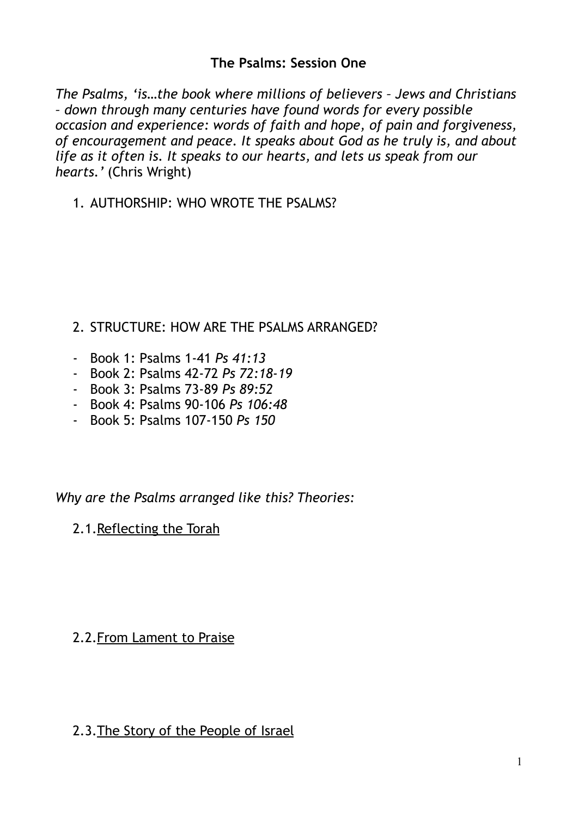### **The Psalms: Session One**

*The Psalms, 'is…the book where millions of believers – Jews and Christians – down through many centuries have found words for every possible occasion and experience: words of faith and hope, of pain and forgiveness, of encouragement and peace. It speaks about God as he truly is, and about life as it often is. It speaks to our hearts, and lets us speak from our hearts.'* (Chris Wright)

1. AUTHORSHIP: WHO WROTE THE PSALMS?

### 2. STRUCTURE: HOW ARE THE PSALMS ARRANGED?

- Book 1: Psalms 1-41 *Ps 41:13*
- Book 2: Psalms 42-72 *Ps 72:18-19*
- Book 3: Psalms 73-89 *Ps 89:52*
- Book 4: Psalms 90-106 *Ps 106:48*
- Book 5: Psalms 107-150 *Ps 150*

#### *Why are the Psalms arranged like this? Theories:*

2.1.Reflecting the Torah

# 2.2.From Lament to Praise

#### 2.3.The Story of the People of Israel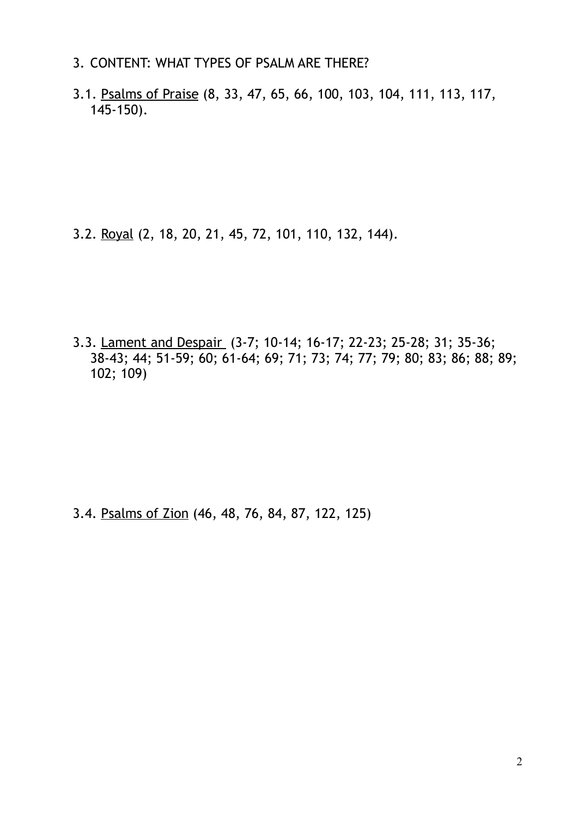- 3. CONTENT: WHAT TYPES OF PSALM ARE THERE?
- 3.1. Psalms of Praise (8, 33, 47, 65, 66, 100, 103, 104, 111, 113, 117, 145-150).

3.2. Royal (2, 18, 20, 21, 45, 72, 101, 110, 132, 144).

3.3. Lament and Despair (3-7; 10-14; 16-17; 22-23; 25-28; 31; 35-36; 38-43; 44; 51-59; 60; 61-64; 69; 71; 73; 74; 77; 79; 80; 83; 86; 88; 89; 102; 109)

3.4. Psalms of Zion (46, 48, 76, 84, 87, 122, 125)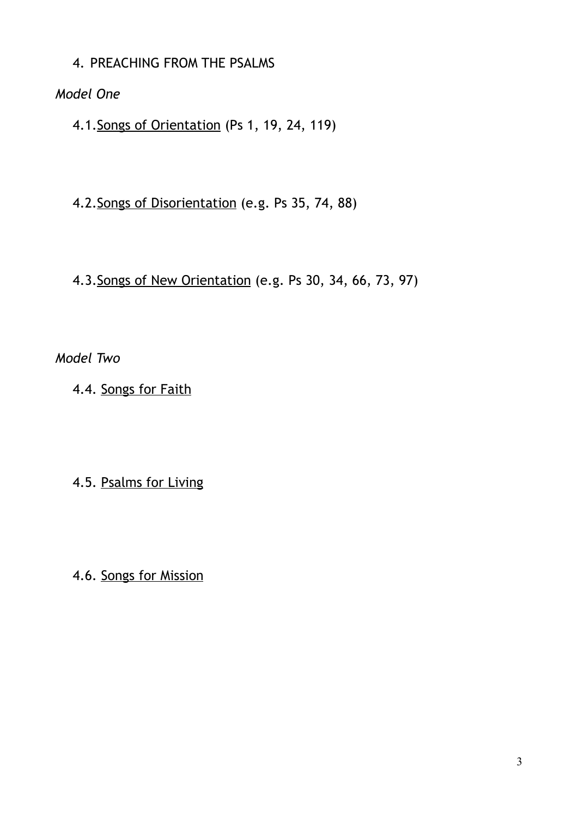4. PREACHING FROM THE PSALMS

*Model One* 

4.1.Songs of Orientation (Ps 1, 19, 24, 119)

4.2.Songs of Disorientation (e.g. Ps 35, 74, 88)

4.3.Songs of New Orientation (e.g. Ps 30, 34, 66, 73, 97)

*Model Two* 

4.4. Songs for Faith

4.5. Psalms for Living

4.6. Songs for Mission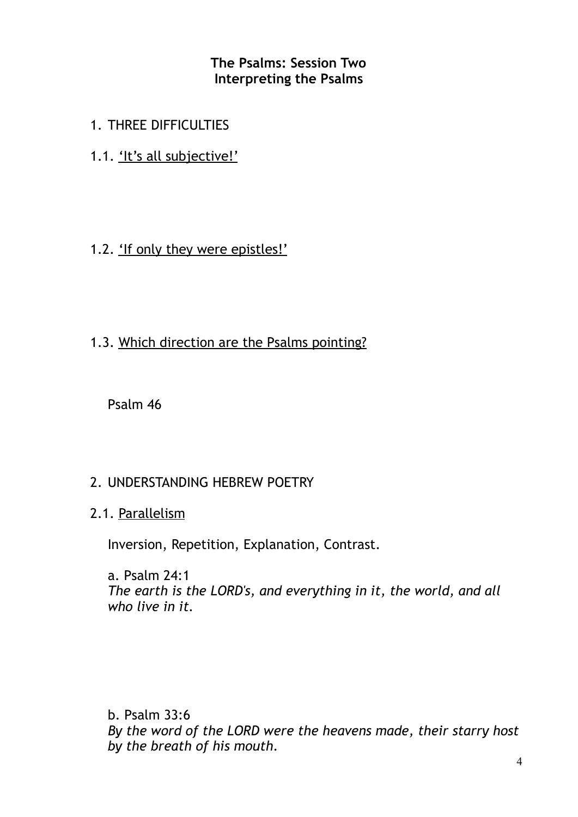**The Psalms: Session Two Interpreting the Psalms** 

- 1. THREE DIFFICULTIES
- 1.1. 'It's all subjective!'
- 1.2. 'If only they were epistles!'
- 1.3. Which direction are the Psalms pointing?

Psalm 46

#### 2. UNDERSTANDING HEBREW POETRY

2.1. Parallelism

Inversion, Repetition, Explanation, Contrast.

a. Psalm 24:1 *The earth is the LORD's, and everything in it, the world, and all who live in it.* 

b. Psalm 33:6 *By the word of the LORD were the heavens made, their starry host by the breath of his mouth.*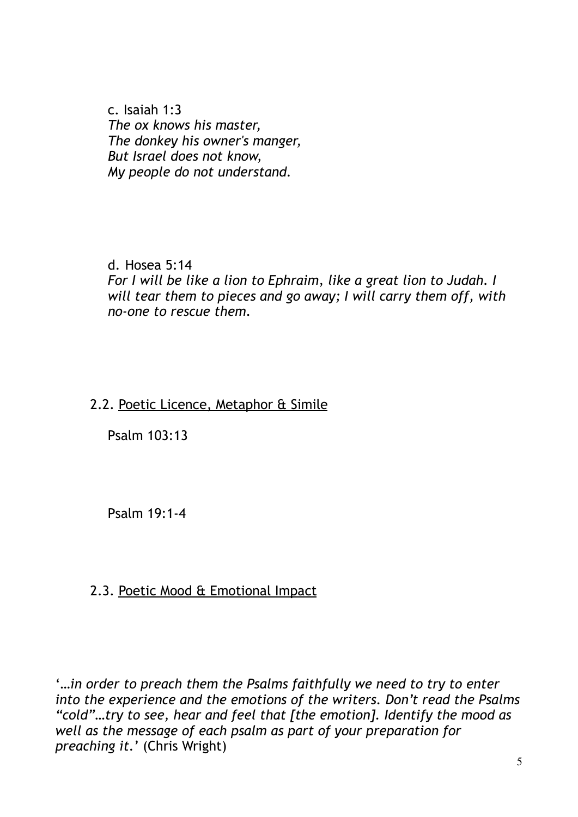c. Isaiah 1:3 *The ox knows his master, The donkey his owner's manger, But Israel does not know, My people do not understand.* 

d. Hosea 5:14 *For I will be like a lion to Ephraim, like a great lion to Judah. I will tear them to pieces and go away; I will carry them off, with no-one to rescue them.* 

# 2.2. Poetic Licence, Metaphor & Simile

Psalm 103:13

Psalm 19:1-4

# 2.3. Poetic Mood & Emotional Impact

'*…in order to preach them the Psalms faithfully we need to try to enter into the experience and the emotions of the writers. Don't read the Psalms "cold"…try to see, hear and feel that [the emotion]. Identify the mood as well as the message of each psalm as part of your preparation for preaching it.*' (Chris Wright)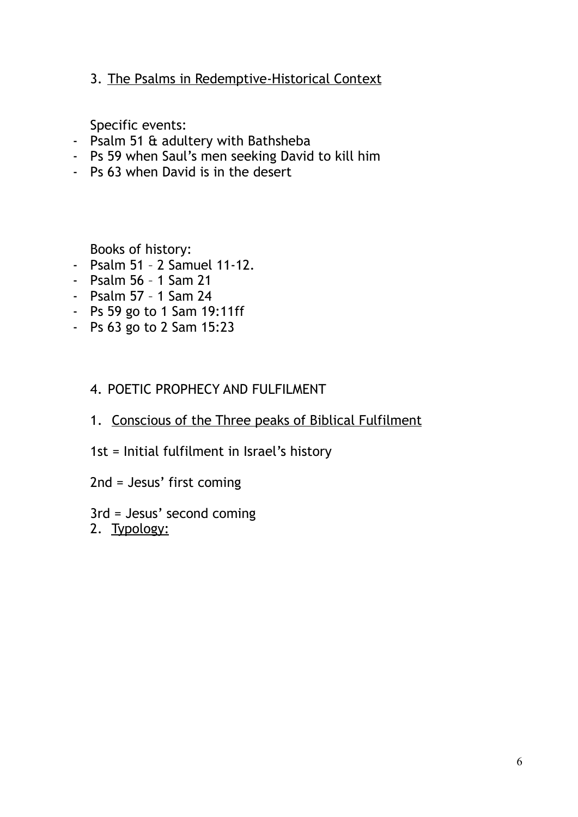3. The Psalms in Redemptive-Historical Context

Specific events:

- Psalm 51 & adultery with Bathsheba
- Ps 59 when Saul's men seeking David to kill him
- Ps 63 when David is in the desert

Books of history:

- Psalm 51 2 Samuel 11-12.
- Psalm 56 1 Sam 21
- Psalm 57 1 Sam 24
- Ps 59 go to 1 Sam 19:11ff
- Ps 63 go to 2 Sam 15:23

### 4. POETIC PROPHECY AND FULFILMENT

- 1. Conscious of the Three peaks of Biblical Fulfilment
- 1st = Initial fulfilment in Israel's history
- 2nd = Jesus' first coming
- 3rd = Jesus' second coming
- 2. Typology: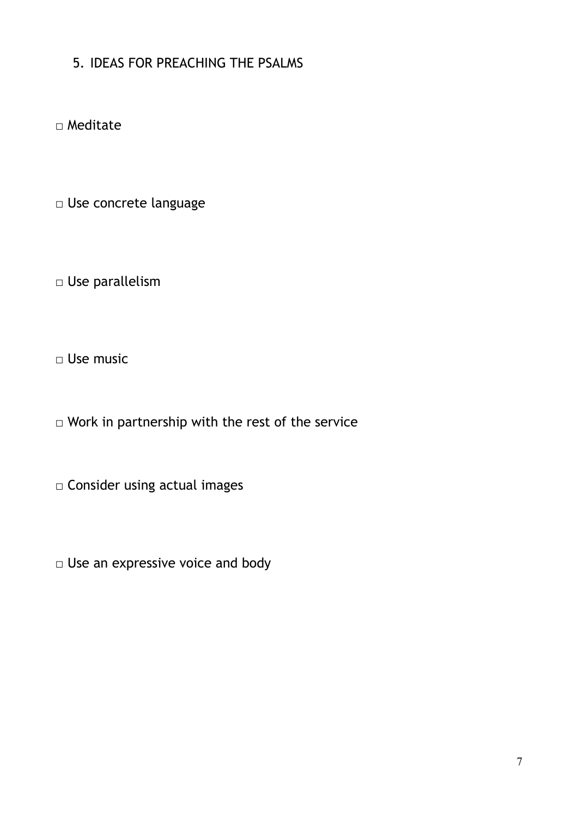# 5. IDEAS FOR PREACHING THE PSALMS

□ Meditate

□ Use concrete language

□ Use parallelism

□ Use music

□ Work in partnership with the rest of the service

□ Consider using actual images

□ Use an expressive voice and body